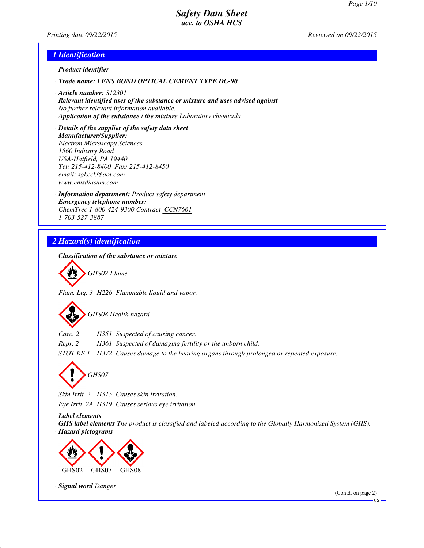*Printing date 09/22/2015 Reviewed on 09/22/2015*

## *1 Identification*

- *· Product identifier*
- *· Trade name: LENS BOND OPTICAL CEMENT TYPE DC-90*
- *· Article number: S12301*
- *· Relevant identified uses of the substance or mixture and uses advised against No further relevant information available.*
- *· Application of the substance / the mixture Laboratory chemicals*
- *· Details of the supplier of the safety data sheet · Manufacturer/Supplier: Electron Microscopy Sciences 1560 Industry Road USA-Hatfield, PA 19440 Tel: 215-412-8400 Fax: 215-412-8450 email: sgkcck@aol.com www.emsdiasum.com*
- *· Information department: Product safety department · Emergency telephone number: ChemTrec 1-800-424-9300 Contract CCN7661 1-703-527-3887*

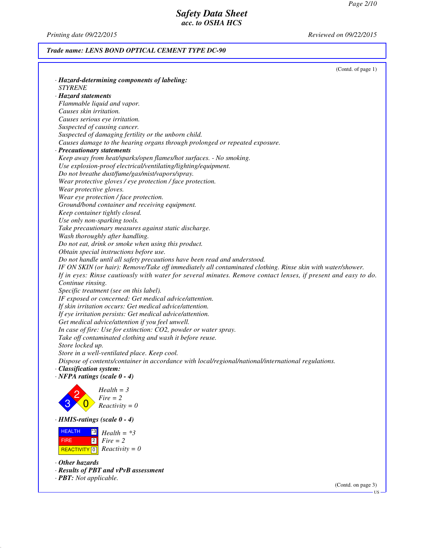*Printing date 09/22/2015 Reviewed on 09/22/2015*

## *Trade name: LENS BOND OPTICAL CEMENT TYPE DC-90*

| · Hazard-determining components of labeling:<br><b>STYRENE</b><br>· Hazard statements<br>Flammable liquid and vapor.<br>Causes skin irritation.<br>Causes serious eye irritation.<br>Suspected of causing cancer.<br>Suspected of damaging fertility or the unborn child.<br>Causes damage to the hearing organs through prolonged or repeated exposure.<br>· Precautionary statements<br>Keep away from heat/sparks/open flames/hot surfaces. - No smoking.<br>Use explosion-proof electrical/ventilating/lighting/equipment.<br>Do not breathe dust/fume/gas/mist/vapors/spray.<br>Wear protective gloves / eye protection / face protection.<br>Wear protective gloves.<br>Wear eye protection / face protection.<br>Ground/bond container and receiving equipment.<br>Keep container tightly closed.<br>Use only non-sparking tools.<br>Take precautionary measures against static discharge.<br>Wash thoroughly after handling.<br>Do not eat, drink or smoke when using this product.<br>Obtain special instructions before use.<br>Do not handle until all safety precautions have been read and understood.<br>IF ON SKIN (or hair): Remove/Take off immediately all contaminated clothing. Rinse skin with water/shower.<br>If in eyes: Rinse cautiously with water for several minutes. Remove contact lenses, if present and easy to do.<br>Continue rinsing.<br>Specific treatment (see on this label).<br>IF exposed or concerned: Get medical advice/attention.<br>If skin irritation occurs: Get medical advice/attention.<br>If eye irritation persists: Get medical advice/attention.<br>Get medical advice/attention if you feel unwell.<br>In case of fire: Use for extinction: CO2, powder or water spray.<br>Take off contaminated clothing and wash it before reuse.<br>Store locked up.<br>Store in a well-ventilated place. Keep cool.<br>Dispose of contents/container in accordance with local/regional/national/international regulations.<br>· Classification system:<br>$\cdot$ NFPA ratings (scale $0 - 4$ )<br>$Health = 3$<br>$Fire = 2$<br>$Reactivity = 0$<br>$\cdot$ HMIS-ratings (scale 0 - 4)<br><b>HEALTH</b><br> *3 <br>$Health = *3$<br>$\overline{2}$<br>$Fire = 2$<br><b>FIRE</b><br>$Reactivity = 0$<br><b>REACTIVITY</b> 0<br>$\cdot$ Other hazards<br>· Results of PBT and vPvB assessment | (Contd. of page 1)             |
|-----------------------------------------------------------------------------------------------------------------------------------------------------------------------------------------------------------------------------------------------------------------------------------------------------------------------------------------------------------------------------------------------------------------------------------------------------------------------------------------------------------------------------------------------------------------------------------------------------------------------------------------------------------------------------------------------------------------------------------------------------------------------------------------------------------------------------------------------------------------------------------------------------------------------------------------------------------------------------------------------------------------------------------------------------------------------------------------------------------------------------------------------------------------------------------------------------------------------------------------------------------------------------------------------------------------------------------------------------------------------------------------------------------------------------------------------------------------------------------------------------------------------------------------------------------------------------------------------------------------------------------------------------------------------------------------------------------------------------------------------------------------------------------------------------------------------------------------------------------------------------------------------------------------------------------------------------------------------------------------------------------------------------------------------------------------------------------------------------------------------------------------------------------------------------------------------------------------------------------------------------------------------------------------------------------------------------------------|--------------------------------|
|                                                                                                                                                                                                                                                                                                                                                                                                                                                                                                                                                                                                                                                                                                                                                                                                                                                                                                                                                                                                                                                                                                                                                                                                                                                                                                                                                                                                                                                                                                                                                                                                                                                                                                                                                                                                                                                                                                                                                                                                                                                                                                                                                                                                                                                                                                                                         |                                |
|                                                                                                                                                                                                                                                                                                                                                                                                                                                                                                                                                                                                                                                                                                                                                                                                                                                                                                                                                                                                                                                                                                                                                                                                                                                                                                                                                                                                                                                                                                                                                                                                                                                                                                                                                                                                                                                                                                                                                                                                                                                                                                                                                                                                                                                                                                                                         |                                |
|                                                                                                                                                                                                                                                                                                                                                                                                                                                                                                                                                                                                                                                                                                                                                                                                                                                                                                                                                                                                                                                                                                                                                                                                                                                                                                                                                                                                                                                                                                                                                                                                                                                                                                                                                                                                                                                                                                                                                                                                                                                                                                                                                                                                                                                                                                                                         |                                |
|                                                                                                                                                                                                                                                                                                                                                                                                                                                                                                                                                                                                                                                                                                                                                                                                                                                                                                                                                                                                                                                                                                                                                                                                                                                                                                                                                                                                                                                                                                                                                                                                                                                                                                                                                                                                                                                                                                                                                                                                                                                                                                                                                                                                                                                                                                                                         |                                |
|                                                                                                                                                                                                                                                                                                                                                                                                                                                                                                                                                                                                                                                                                                                                                                                                                                                                                                                                                                                                                                                                                                                                                                                                                                                                                                                                                                                                                                                                                                                                                                                                                                                                                                                                                                                                                                                                                                                                                                                                                                                                                                                                                                                                                                                                                                                                         |                                |
|                                                                                                                                                                                                                                                                                                                                                                                                                                                                                                                                                                                                                                                                                                                                                                                                                                                                                                                                                                                                                                                                                                                                                                                                                                                                                                                                                                                                                                                                                                                                                                                                                                                                                                                                                                                                                                                                                                                                                                                                                                                                                                                                                                                                                                                                                                                                         |                                |
|                                                                                                                                                                                                                                                                                                                                                                                                                                                                                                                                                                                                                                                                                                                                                                                                                                                                                                                                                                                                                                                                                                                                                                                                                                                                                                                                                                                                                                                                                                                                                                                                                                                                                                                                                                                                                                                                                                                                                                                                                                                                                                                                                                                                                                                                                                                                         |                                |
|                                                                                                                                                                                                                                                                                                                                                                                                                                                                                                                                                                                                                                                                                                                                                                                                                                                                                                                                                                                                                                                                                                                                                                                                                                                                                                                                                                                                                                                                                                                                                                                                                                                                                                                                                                                                                                                                                                                                                                                                                                                                                                                                                                                                                                                                                                                                         |                                |
|                                                                                                                                                                                                                                                                                                                                                                                                                                                                                                                                                                                                                                                                                                                                                                                                                                                                                                                                                                                                                                                                                                                                                                                                                                                                                                                                                                                                                                                                                                                                                                                                                                                                                                                                                                                                                                                                                                                                                                                                                                                                                                                                                                                                                                                                                                                                         |                                |
|                                                                                                                                                                                                                                                                                                                                                                                                                                                                                                                                                                                                                                                                                                                                                                                                                                                                                                                                                                                                                                                                                                                                                                                                                                                                                                                                                                                                                                                                                                                                                                                                                                                                                                                                                                                                                                                                                                                                                                                                                                                                                                                                                                                                                                                                                                                                         |                                |
|                                                                                                                                                                                                                                                                                                                                                                                                                                                                                                                                                                                                                                                                                                                                                                                                                                                                                                                                                                                                                                                                                                                                                                                                                                                                                                                                                                                                                                                                                                                                                                                                                                                                                                                                                                                                                                                                                                                                                                                                                                                                                                                                                                                                                                                                                                                                         |                                |
|                                                                                                                                                                                                                                                                                                                                                                                                                                                                                                                                                                                                                                                                                                                                                                                                                                                                                                                                                                                                                                                                                                                                                                                                                                                                                                                                                                                                                                                                                                                                                                                                                                                                                                                                                                                                                                                                                                                                                                                                                                                                                                                                                                                                                                                                                                                                         |                                |
|                                                                                                                                                                                                                                                                                                                                                                                                                                                                                                                                                                                                                                                                                                                                                                                                                                                                                                                                                                                                                                                                                                                                                                                                                                                                                                                                                                                                                                                                                                                                                                                                                                                                                                                                                                                                                                                                                                                                                                                                                                                                                                                                                                                                                                                                                                                                         |                                |
|                                                                                                                                                                                                                                                                                                                                                                                                                                                                                                                                                                                                                                                                                                                                                                                                                                                                                                                                                                                                                                                                                                                                                                                                                                                                                                                                                                                                                                                                                                                                                                                                                                                                                                                                                                                                                                                                                                                                                                                                                                                                                                                                                                                                                                                                                                                                         |                                |
|                                                                                                                                                                                                                                                                                                                                                                                                                                                                                                                                                                                                                                                                                                                                                                                                                                                                                                                                                                                                                                                                                                                                                                                                                                                                                                                                                                                                                                                                                                                                                                                                                                                                                                                                                                                                                                                                                                                                                                                                                                                                                                                                                                                                                                                                                                                                         |                                |
|                                                                                                                                                                                                                                                                                                                                                                                                                                                                                                                                                                                                                                                                                                                                                                                                                                                                                                                                                                                                                                                                                                                                                                                                                                                                                                                                                                                                                                                                                                                                                                                                                                                                                                                                                                                                                                                                                                                                                                                                                                                                                                                                                                                                                                                                                                                                         |                                |
|                                                                                                                                                                                                                                                                                                                                                                                                                                                                                                                                                                                                                                                                                                                                                                                                                                                                                                                                                                                                                                                                                                                                                                                                                                                                                                                                                                                                                                                                                                                                                                                                                                                                                                                                                                                                                                                                                                                                                                                                                                                                                                                                                                                                                                                                                                                                         |                                |
|                                                                                                                                                                                                                                                                                                                                                                                                                                                                                                                                                                                                                                                                                                                                                                                                                                                                                                                                                                                                                                                                                                                                                                                                                                                                                                                                                                                                                                                                                                                                                                                                                                                                                                                                                                                                                                                                                                                                                                                                                                                                                                                                                                                                                                                                                                                                         |                                |
|                                                                                                                                                                                                                                                                                                                                                                                                                                                                                                                                                                                                                                                                                                                                                                                                                                                                                                                                                                                                                                                                                                                                                                                                                                                                                                                                                                                                                                                                                                                                                                                                                                                                                                                                                                                                                                                                                                                                                                                                                                                                                                                                                                                                                                                                                                                                         |                                |
|                                                                                                                                                                                                                                                                                                                                                                                                                                                                                                                                                                                                                                                                                                                                                                                                                                                                                                                                                                                                                                                                                                                                                                                                                                                                                                                                                                                                                                                                                                                                                                                                                                                                                                                                                                                                                                                                                                                                                                                                                                                                                                                                                                                                                                                                                                                                         |                                |
|                                                                                                                                                                                                                                                                                                                                                                                                                                                                                                                                                                                                                                                                                                                                                                                                                                                                                                                                                                                                                                                                                                                                                                                                                                                                                                                                                                                                                                                                                                                                                                                                                                                                                                                                                                                                                                                                                                                                                                                                                                                                                                                                                                                                                                                                                                                                         |                                |
|                                                                                                                                                                                                                                                                                                                                                                                                                                                                                                                                                                                                                                                                                                                                                                                                                                                                                                                                                                                                                                                                                                                                                                                                                                                                                                                                                                                                                                                                                                                                                                                                                                                                                                                                                                                                                                                                                                                                                                                                                                                                                                                                                                                                                                                                                                                                         |                                |
|                                                                                                                                                                                                                                                                                                                                                                                                                                                                                                                                                                                                                                                                                                                                                                                                                                                                                                                                                                                                                                                                                                                                                                                                                                                                                                                                                                                                                                                                                                                                                                                                                                                                                                                                                                                                                                                                                                                                                                                                                                                                                                                                                                                                                                                                                                                                         |                                |
|                                                                                                                                                                                                                                                                                                                                                                                                                                                                                                                                                                                                                                                                                                                                                                                                                                                                                                                                                                                                                                                                                                                                                                                                                                                                                                                                                                                                                                                                                                                                                                                                                                                                                                                                                                                                                                                                                                                                                                                                                                                                                                                                                                                                                                                                                                                                         |                                |
|                                                                                                                                                                                                                                                                                                                                                                                                                                                                                                                                                                                                                                                                                                                                                                                                                                                                                                                                                                                                                                                                                                                                                                                                                                                                                                                                                                                                                                                                                                                                                                                                                                                                                                                                                                                                                                                                                                                                                                                                                                                                                                                                                                                                                                                                                                                                         |                                |
|                                                                                                                                                                                                                                                                                                                                                                                                                                                                                                                                                                                                                                                                                                                                                                                                                                                                                                                                                                                                                                                                                                                                                                                                                                                                                                                                                                                                                                                                                                                                                                                                                                                                                                                                                                                                                                                                                                                                                                                                                                                                                                                                                                                                                                                                                                                                         |                                |
|                                                                                                                                                                                                                                                                                                                                                                                                                                                                                                                                                                                                                                                                                                                                                                                                                                                                                                                                                                                                                                                                                                                                                                                                                                                                                                                                                                                                                                                                                                                                                                                                                                                                                                                                                                                                                                                                                                                                                                                                                                                                                                                                                                                                                                                                                                                                         |                                |
|                                                                                                                                                                                                                                                                                                                                                                                                                                                                                                                                                                                                                                                                                                                                                                                                                                                                                                                                                                                                                                                                                                                                                                                                                                                                                                                                                                                                                                                                                                                                                                                                                                                                                                                                                                                                                                                                                                                                                                                                                                                                                                                                                                                                                                                                                                                                         |                                |
|                                                                                                                                                                                                                                                                                                                                                                                                                                                                                                                                                                                                                                                                                                                                                                                                                                                                                                                                                                                                                                                                                                                                                                                                                                                                                                                                                                                                                                                                                                                                                                                                                                                                                                                                                                                                                                                                                                                                                                                                                                                                                                                                                                                                                                                                                                                                         |                                |
|                                                                                                                                                                                                                                                                                                                                                                                                                                                                                                                                                                                                                                                                                                                                                                                                                                                                                                                                                                                                                                                                                                                                                                                                                                                                                                                                                                                                                                                                                                                                                                                                                                                                                                                                                                                                                                                                                                                                                                                                                                                                                                                                                                                                                                                                                                                                         |                                |
|                                                                                                                                                                                                                                                                                                                                                                                                                                                                                                                                                                                                                                                                                                                                                                                                                                                                                                                                                                                                                                                                                                                                                                                                                                                                                                                                                                                                                                                                                                                                                                                                                                                                                                                                                                                                                                                                                                                                                                                                                                                                                                                                                                                                                                                                                                                                         |                                |
|                                                                                                                                                                                                                                                                                                                                                                                                                                                                                                                                                                                                                                                                                                                                                                                                                                                                                                                                                                                                                                                                                                                                                                                                                                                                                                                                                                                                                                                                                                                                                                                                                                                                                                                                                                                                                                                                                                                                                                                                                                                                                                                                                                                                                                                                                                                                         |                                |
|                                                                                                                                                                                                                                                                                                                                                                                                                                                                                                                                                                                                                                                                                                                                                                                                                                                                                                                                                                                                                                                                                                                                                                                                                                                                                                                                                                                                                                                                                                                                                                                                                                                                                                                                                                                                                                                                                                                                                                                                                                                                                                                                                                                                                                                                                                                                         |                                |
|                                                                                                                                                                                                                                                                                                                                                                                                                                                                                                                                                                                                                                                                                                                                                                                                                                                                                                                                                                                                                                                                                                                                                                                                                                                                                                                                                                                                                                                                                                                                                                                                                                                                                                                                                                                                                                                                                                                                                                                                                                                                                                                                                                                                                                                                                                                                         |                                |
|                                                                                                                                                                                                                                                                                                                                                                                                                                                                                                                                                                                                                                                                                                                                                                                                                                                                                                                                                                                                                                                                                                                                                                                                                                                                                                                                                                                                                                                                                                                                                                                                                                                                                                                                                                                                                                                                                                                                                                                                                                                                                                                                                                                                                                                                                                                                         |                                |
|                                                                                                                                                                                                                                                                                                                                                                                                                                                                                                                                                                                                                                                                                                                                                                                                                                                                                                                                                                                                                                                                                                                                                                                                                                                                                                                                                                                                                                                                                                                                                                                                                                                                                                                                                                                                                                                                                                                                                                                                                                                                                                                                                                                                                                                                                                                                         |                                |
|                                                                                                                                                                                                                                                                                                                                                                                                                                                                                                                                                                                                                                                                                                                                                                                                                                                                                                                                                                                                                                                                                                                                                                                                                                                                                                                                                                                                                                                                                                                                                                                                                                                                                                                                                                                                                                                                                                                                                                                                                                                                                                                                                                                                                                                                                                                                         |                                |
|                                                                                                                                                                                                                                                                                                                                                                                                                                                                                                                                                                                                                                                                                                                                                                                                                                                                                                                                                                                                                                                                                                                                                                                                                                                                                                                                                                                                                                                                                                                                                                                                                                                                                                                                                                                                                                                                                                                                                                                                                                                                                                                                                                                                                                                                                                                                         |                                |
|                                                                                                                                                                                                                                                                                                                                                                                                                                                                                                                                                                                                                                                                                                                                                                                                                                                                                                                                                                                                                                                                                                                                                                                                                                                                                                                                                                                                                                                                                                                                                                                                                                                                                                                                                                                                                                                                                                                                                                                                                                                                                                                                                                                                                                                                                                                                         |                                |
|                                                                                                                                                                                                                                                                                                                                                                                                                                                                                                                                                                                                                                                                                                                                                                                                                                                                                                                                                                                                                                                                                                                                                                                                                                                                                                                                                                                                                                                                                                                                                                                                                                                                                                                                                                                                                                                                                                                                                                                                                                                                                                                                                                                                                                                                                                                                         |                                |
|                                                                                                                                                                                                                                                                                                                                                                                                                                                                                                                                                                                                                                                                                                                                                                                                                                                                                                                                                                                                                                                                                                                                                                                                                                                                                                                                                                                                                                                                                                                                                                                                                                                                                                                                                                                                                                                                                                                                                                                                                                                                                                                                                                                                                                                                                                                                         |                                |
|                                                                                                                                                                                                                                                                                                                                                                                                                                                                                                                                                                                                                                                                                                                                                                                                                                                                                                                                                                                                                                                                                                                                                                                                                                                                                                                                                                                                                                                                                                                                                                                                                                                                                                                                                                                                                                                                                                                                                                                                                                                                                                                                                                                                                                                                                                                                         |                                |
|                                                                                                                                                                                                                                                                                                                                                                                                                                                                                                                                                                                                                                                                                                                                                                                                                                                                                                                                                                                                                                                                                                                                                                                                                                                                                                                                                                                                                                                                                                                                                                                                                                                                                                                                                                                                                                                                                                                                                                                                                                                                                                                                                                                                                                                                                                                                         |                                |
|                                                                                                                                                                                                                                                                                                                                                                                                                                                                                                                                                                                                                                                                                                                                                                                                                                                                                                                                                                                                                                                                                                                                                                                                                                                                                                                                                                                                                                                                                                                                                                                                                                                                                                                                                                                                                                                                                                                                                                                                                                                                                                                                                                                                                                                                                                                                         |                                |
|                                                                                                                                                                                                                                                                                                                                                                                                                                                                                                                                                                                                                                                                                                                                                                                                                                                                                                                                                                                                                                                                                                                                                                                                                                                                                                                                                                                                                                                                                                                                                                                                                                                                                                                                                                                                                                                                                                                                                                                                                                                                                                                                                                                                                                                                                                                                         |                                |
|                                                                                                                                                                                                                                                                                                                                                                                                                                                                                                                                                                                                                                                                                                                                                                                                                                                                                                                                                                                                                                                                                                                                                                                                                                                                                                                                                                                                                                                                                                                                                                                                                                                                                                                                                                                                                                                                                                                                                                                                                                                                                                                                                                                                                                                                                                                                         |                                |
|                                                                                                                                                                                                                                                                                                                                                                                                                                                                                                                                                                                                                                                                                                                                                                                                                                                                                                                                                                                                                                                                                                                                                                                                                                                                                                                                                                                                                                                                                                                                                                                                                                                                                                                                                                                                                                                                                                                                                                                                                                                                                                                                                                                                                                                                                                                                         |                                |
|                                                                                                                                                                                                                                                                                                                                                                                                                                                                                                                                                                                                                                                                                                                                                                                                                                                                                                                                                                                                                                                                                                                                                                                                                                                                                                                                                                                                                                                                                                                                                                                                                                                                                                                                                                                                                                                                                                                                                                                                                                                                                                                                                                                                                                                                                                                                         |                                |
|                                                                                                                                                                                                                                                                                                                                                                                                                                                                                                                                                                                                                                                                                                                                                                                                                                                                                                                                                                                                                                                                                                                                                                                                                                                                                                                                                                                                                                                                                                                                                                                                                                                                                                                                                                                                                                                                                                                                                                                                                                                                                                                                                                                                                                                                                                                                         |                                |
|                                                                                                                                                                                                                                                                                                                                                                                                                                                                                                                                                                                                                                                                                                                                                                                                                                                                                                                                                                                                                                                                                                                                                                                                                                                                                                                                                                                                                                                                                                                                                                                                                                                                                                                                                                                                                                                                                                                                                                                                                                                                                                                                                                                                                                                                                                                                         |                                |
|                                                                                                                                                                                                                                                                                                                                                                                                                                                                                                                                                                                                                                                                                                                                                                                                                                                                                                                                                                                                                                                                                                                                                                                                                                                                                                                                                                                                                                                                                                                                                                                                                                                                                                                                                                                                                                                                                                                                                                                                                                                                                                                                                                                                                                                                                                                                         | · <b>PBT</b> : Not applicable. |

(Contd. on page 3)

US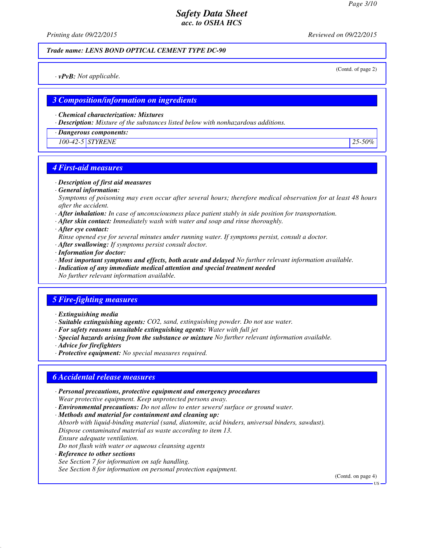*Printing date 09/22/2015 Reviewed on 09/22/2015*

#### *Trade name: LENS BOND OPTICAL CEMENT TYPE DC-90*

(Contd. of page 2)

*· vPvB: Not applicable.*

## *3 Composition/information on ingredients*

*· Chemical characterization: Mixtures*

*· Description: Mixture of the substances listed below with nonhazardous additions.*

*· Dangerous components:*

*100-42-5 STYRENE 25-50%*

## *4 First-aid measures*

- *· Description of first aid measures*
- *· General information:*

*Symptoms of poisoning may even occur after several hours; therefore medical observation for at least 48 hours after the accident.*

- *· After inhalation: In case of unconsciousness place patient stably in side position for transportation.*
- *· After skin contact: Immediately wash with water and soap and rinse thoroughly.*
- *· After eye contact:*
- *Rinse opened eye for several minutes under running water. If symptoms persist, consult a doctor.*
- *· After swallowing: If symptoms persist consult doctor.*
- *· Information for doctor:*
- *· Most important symptoms and effects, both acute and delayed No further relevant information available.*
- *· Indication of any immediate medical attention and special treatment needed*
- *No further relevant information available.*

# *5 Fire-fighting measures*

- *· Extinguishing media*
- *· Suitable extinguishing agents: CO2, sand, extinguishing powder. Do not use water.*
- *· For safety reasons unsuitable extinguishing agents: Water with full jet*
- *· Special hazards arising from the substance or mixture No further relevant information available.*
- *· Advice for firefighters*
- *· Protective equipment: No special measures required.*

## *6 Accidental release measures*

- *· Personal precautions, protective equipment and emergency procedures Wear protective equipment. Keep unprotected persons away.*
- *· Environmental precautions: Do not allow to enter sewers/ surface or ground water.*
- *· Methods and material for containment and cleaning up:*

*Absorb with liquid-binding material (sand, diatomite, acid binders, universal binders, sawdust). Dispose contaminated material as waste according to item 13. Ensure adequate ventilation.*

- *Do not flush with water or aqueous cleansing agents*
- *· Reference to other sections*

*See Section 7 for information on safe handling.*

*See Section 8 for information on personal protection equipment.*

(Contd. on page 4)

**HS**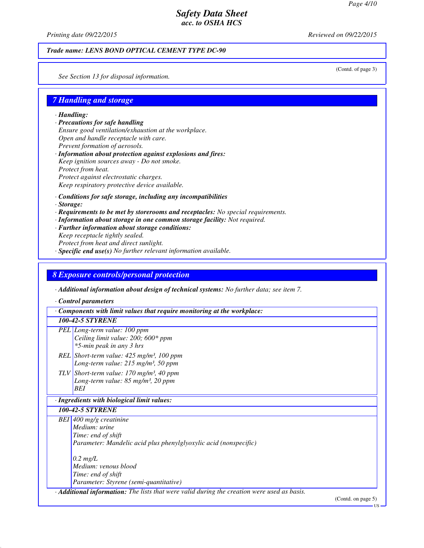*Printing date 09/22/2015 Reviewed on 09/22/2015*

#### *Trade name: LENS BOND OPTICAL CEMENT TYPE DC-90*

(Contd. of page 3)

*See Section 13 for disposal information.*

### *7 Handling and storage*

*· Handling:*

- *· Precautions for safe handling Ensure good ventilation/exhaustion at the workplace. Open and handle receptacle with care. Prevent formation of aerosols. · Information about protection against explosions and fires:*
- *Keep ignition sources away Do not smoke. Protect from heat. Protect against electrostatic charges. Keep respiratory protective device available.*
- *· Conditions for safe storage, including any incompatibilities*
- *· Storage:*
- *· Requirements to be met by storerooms and receptacles: No special requirements.*
- *· Information about storage in one common storage facility: Not required.*
- *· Further information about storage conditions:*
- *Keep receptacle tightly sealed. Protect from heat and direct sunlight. · Specific end use(s) No further relevant information available.*

## *8 Exposure controls/personal protection*

*· Additional information about design of technical systems: No further data; see item 7.*

*· Control parameters*

*· Components with limit values that require monitoring at the workplace:*

#### *100-42-5 STYRENE*

- *PEL Long-term value: 100 ppm Ceiling limit value: 200; 600\* ppm \*5-min peak in any 3 hrs*
- *REL Short-term value: 425 mg/m³, 100 ppm Long-term value: 215 mg/m³, 50 ppm*
- *TLV Short-term value: 170 mg/m³, 40 ppm Long-term value: 85 mg/m³, 20 ppm BEI*

#### *· Ingredients with biological limit values:*

*100-42-5 STYRENE*

*BEI 400 mg/g creatinine Medium: urine Time: end of shift Parameter: Mandelic acid plus phenylglyoxylic acid (nonspecific) 0.2 mg/L Medium: venous blood*

*Time: end of shift Parameter: Styrene (semi-quantitative)*

*· Additional information: The lists that were valid during the creation were used as basis.*

(Contd. on page 5)

US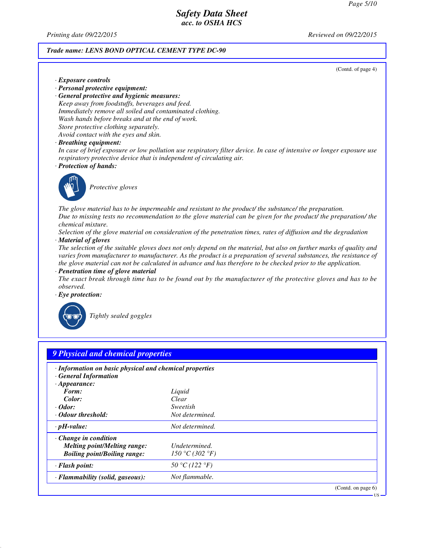*Printing date 09/22/2015 Reviewed on 09/22/2015*

*· Exposure controls*

#### *Trade name: LENS BOND OPTICAL CEMENT TYPE DC-90*

(Contd. of page 4)

US

- *· Personal protective equipment: · General protective and hygienic measures: Keep away from foodstuffs, beverages and feed. Immediately remove all soiled and contaminated clothing. Wash hands before breaks and at the end of work. Store protective clothing separately. Avoid contact with the eyes and skin.*
- *· Breathing equipment:*

*In case of brief exposure or low pollution use respiratory filter device. In case of intensive or longer exposure use respiratory protective device that is independent of circulating air.*

*· Protection of hands:*



*Protective gloves*

*The glove material has to be impermeable and resistant to the product/ the substance/ the preparation. Due to missing tests no recommendation to the glove material can be given for the product/ the preparation/ the chemical mixture.*

*Selection of the glove material on consideration of the penetration times, rates of diffusion and the degradation · Material of gloves*

*The selection of the suitable gloves does not only depend on the material, but also on further marks of quality and varies from manufacturer to manufacturer. As the product is a preparation of several substances, the resistance of the glove material can not be calculated in advance and has therefore to be checked prior to the application.*

*· Penetration time of glove material*

*The exact break through time has to be found out by the manufacturer of the protective gloves and has to be observed.*

*· Eye protection:*



*Tightly sealed goggles*

| · Information on basic physical and chemical properties<br>· General Information |                 |  |
|----------------------------------------------------------------------------------|-----------------|--|
| $\cdot$ Appearance:<br>Form:                                                     | Liquid          |  |
| Color:                                                                           | Clear           |  |
| $\cdot$ Odor:                                                                    | Sweetish        |  |
| Odour threshold:                                                                 | Not determined. |  |
| $\cdot$ pH-value:                                                                | Not determined. |  |
| $\cdot$ Change in condition                                                      |                 |  |
| <b>Melting point/Melting range:</b>                                              | Undetermined.   |  |
| <b>Boiling point/Boiling range:</b>                                              | 150 °C (302 °F) |  |
| $\cdot$ Flash point:                                                             | 50 °C (122 °F)  |  |
| · Flammability (solid, gaseous):                                                 | Not flammable.  |  |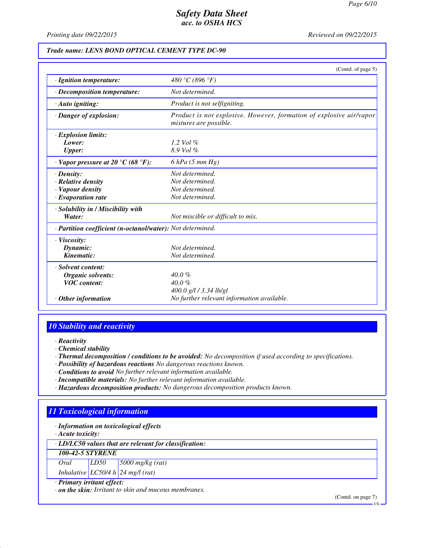*Printing date 09/22/2015 Reviewed on 09/22/2015*

#### *Trade name: LENS BOND OPTICAL CEMENT TYPE DC-90*

|                                                            | (Contd. of page 5)                                                                            |
|------------------------------------------------------------|-----------------------------------------------------------------------------------------------|
| · Ignition temperature:                                    | 480 °C (896 °F)                                                                               |
| $\cdot$ Decomposition temperature:                         | Not determined.                                                                               |
| $\cdot$ Auto igniting:                                     | Product is not selfigniting.                                                                  |
| · Danger of explosion:                                     | Product is not explosive. However, formation of explosive air/vapor<br>mixtures are possible. |
| · Explosion limits:                                        |                                                                                               |
| Lower:                                                     | 1.2 Vol $\%$                                                                                  |
| <b>Upper:</b>                                              | $8.9$ Vol $%$                                                                                 |
| $\cdot$ Vapor pressure at 20 °C (68 °F):                   | $6$ hPa $(5$ mm Hg)                                                                           |
| $\cdot$ Density:                                           | Not determined.                                                                               |
| $\cdot$ Relative density                                   | Not determined.                                                                               |
| · Vapour density                                           | Not determined.                                                                               |
| $\cdot$ Evaporation rate                                   | Not determined.                                                                               |
| · Solubility in / Miscibility with                         |                                                                                               |
| Water:                                                     | Not miscible or difficult to mix.                                                             |
| · Partition coefficient (n-octanol/water): Not determined. |                                                                                               |
| $\cdot$ Viscosity:                                         |                                                                                               |
| Dynamic:                                                   | Not determined.                                                                               |
| Kinematic:                                                 | Not determined.                                                                               |
| · Solvent content:                                         |                                                                                               |
| Organic solvents:                                          | $40.0\%$                                                                                      |
| <b>VOC</b> content:                                        | $40.0 \%$                                                                                     |
|                                                            | $400.0$ g/l / 3.34 lb/gl                                                                      |
| $\cdot$ Other information                                  | No further relevant information available.                                                    |

## *10 Stability and reactivity*

- *· Reactivity*
- *· Chemical stability*
- *· Thermal decomposition / conditions to be avoided: No decomposition if used according to specifications.*
- *· Possibility of hazardous reactions No dangerous reactions known.*
- *· Conditions to avoid No further relevant information available.*
- *· Incompatible materials: No further relevant information available.*
- *· Hazardous decomposition products: No dangerous decomposition products known.*

# *11 Toxicological information*

*· Information on toxicological effects*

*· Acute toxicity:*

*· LD/LC50 values that are relevant for classification:*

*100-42-5 STYRENE Oral LD50 5000 mg/kg (rat)*

| Urai | LDJU | $15000$ mg/kg (rai |
|------|------|--------------------|
|      |      |                    |

*Inhalative LC50/4 h 24 mg/l (rat) · Primary irritant effect:*

*· on the skin: Irritant to skin and mucous membranes.*

(Contd. on page 7)

US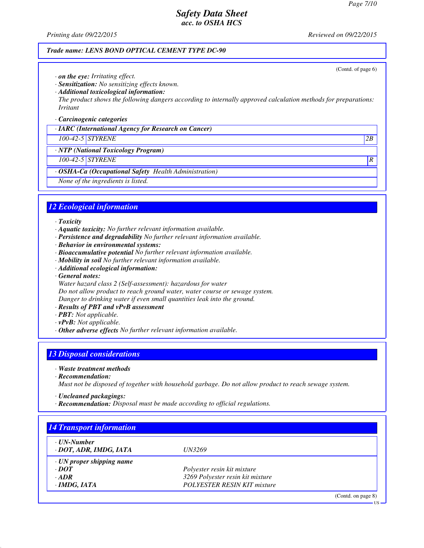(Contd. of page 6)

# *Safety Data Sheet acc. to OSHA HCS*

*Printing date 09/22/2015 Reviewed on 09/22/2015*

#### *Trade name: LENS BOND OPTICAL CEMENT TYPE DC-90*

- *· on the eye: Irritating effect.*
- *· Sensitization: No sensitizing effects known.*
- *· Additional toxicological information:*
- *The product shows the following dangers according to internally approved calculation methods for preparations: Irritant*

#### *· Carcinogenic categories*

*· IARC (International Agency for Research on Cancer)*

### *100-42-5 STYRENE 2B*

*· NTP (National Toxicology Program)*

## *100-42-5 STYRENE R*

- *· OSHA-Ca (Occupational Safety Health Administration)*
- *None of the ingredients is listed.*

## *12 Ecological information*

#### *· Toxicity*

- *· Aquatic toxicity: No further relevant information available.*
- *· Persistence and degradability No further relevant information available.*
- *· Behavior in environmental systems:*
- *· Bioaccumulative potential No further relevant information available.*
- *· Mobility in soil No further relevant information available.*
- *· Additional ecological information:*
- *· General notes:*
- *Water hazard class 2 (Self-assessment): hazardous for water*

*Do not allow product to reach ground water, water course or sewage system.*

*Danger to drinking water if even small quantities leak into the ground.*

- *· Results of PBT and vPvB assessment*
- *· PBT: Not applicable.*
- *· vPvB: Not applicable.*
- *· Other adverse effects No further relevant information available.*

# *13 Disposal considerations*

- *· Waste treatment methods*
- *· Recommendation:*

*Must not be disposed of together with household garbage. Do not allow product to reach sewage system.*

- *· Uncleaned packagings:*
- *· Recommendation: Disposal must be made according to official regulations.*

| ⋅ UN-Number                     |                                    |  |
|---------------------------------|------------------------------------|--|
| · DOT, ADR, IMDG, IATA          | <i>UN3269</i>                      |  |
| $\cdot$ UN proper shipping name |                                    |  |
| $\cdot$ DOT                     | Polyester resin kit mixture        |  |
| $\cdot$ ADR                     | 3269 Polyester resin kit mixture   |  |
| $\cdot$ IMDG, IATA              | <b>POLYESTER RESIN KIT mixture</b> |  |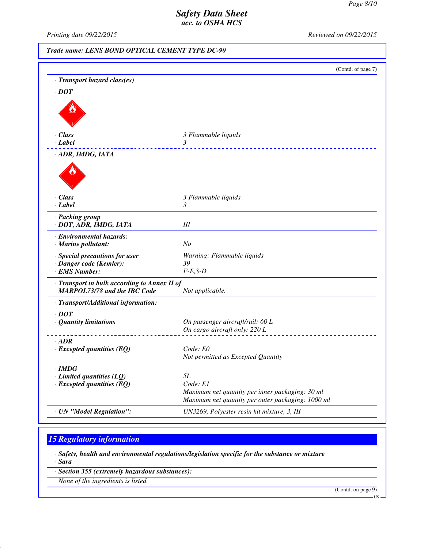*Printing date 09/22/2015 Reviewed on 09/22/2015*

*Trade name: LENS BOND OPTICAL CEMENT TYPE DC-90*

|                                                       | (Contd. of page 7)                                |
|-------------------------------------------------------|---------------------------------------------------|
| · Transport hazard class(es)                          |                                                   |
| $\cdot$ DOT                                           |                                                   |
|                                                       |                                                   |
| $\cdot$ Class                                         | 3 Flammable liquids                               |
| · Label                                               | 3                                                 |
| · ADR, IMDG, IATA                                     |                                                   |
|                                                       |                                                   |
| · Class                                               | 3 Flammable liquids                               |
| · Label                                               | 3                                                 |
| · Packing group<br>· DOT, ADR, IMDG, IATA             | III                                               |
| · Environmental hazards:<br>$\cdot$ Marine pollutant: | N <sub>O</sub>                                    |
| · Special precautions for user                        | Warning: Flammable liquids                        |
| · Danger code (Kemler):                               | 39                                                |
| · EMS Number:                                         | $F-E,S-D$                                         |
| · Transport in bulk according to Annex II of          |                                                   |
| <b>MARPOL73/78 and the IBC Code</b>                   | Not applicable.                                   |
| · Transport/Additional information:                   |                                                   |
| $\cdot$ DOT                                           |                                                   |
| · Quantity limitations                                | On passenger aircraft/rail: 60 L                  |
|                                                       | On cargo aircraft only: 220 L                     |
| $-ADR$                                                |                                                   |
| $\cdot$ Excepted quantities (EQ)                      | Code: E0                                          |
|                                                       | Not permitted as Excepted Quantity                |
| · IMDG                                                |                                                   |
| $\cdot$ Limited quantities (LQ)                       | 5L                                                |
| $\cdot$ Excepted quantities (EQ)                      | Code: E1                                          |
|                                                       | Maximum net quantity per inner packaging: 30 ml   |
|                                                       | Maximum net quantity per outer packaging: 1000 ml |
| · UN "Model Regulation":                              | UN3269, Polyester resin kit mixture, 3, III       |

# *15 Regulatory information*

*· Safety, health and environmental regulations/legislation specific for the substance or mixture*

*· Sara*

*· Section 355 (extremely hazardous substances):*

*None of the ingredients is listed.*

(Contd. on page 9)

US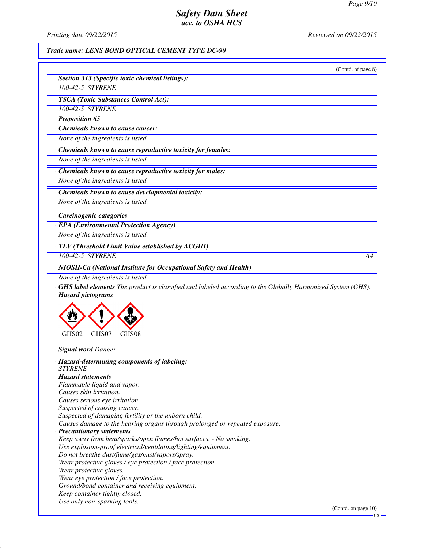*Printing date 09/22/2015 Reviewed on 09/22/2015*

## *Trade name: LENS BOND OPTICAL CEMENT TYPE DC-90*

|                                                                                                             | (Contd. of page 8) |
|-------------------------------------------------------------------------------------------------------------|--------------------|
| · Section 313 (Specific toxic chemical listings):                                                           |                    |
| 100-42-5 STYRENE                                                                                            |                    |
| · TSCA (Toxic Substances Control Act):                                                                      |                    |
| 100-42-5 STYRENE                                                                                            |                    |
| $\cdot$ Proposition 65                                                                                      |                    |
| Chemicals known to cause cancer:                                                                            |                    |
| None of the ingredients is listed.                                                                          |                    |
| · Chemicals known to cause reproductive toxicity for females:                                               |                    |
| None of the ingredients is listed.                                                                          |                    |
| · Chemicals known to cause reproductive toxicity for males:                                                 |                    |
| None of the ingredients is listed.                                                                          |                    |
| · Chemicals known to cause developmental toxicity:                                                          |                    |
| None of the ingredients is listed.                                                                          |                    |
|                                                                                                             |                    |
| · Carcinogenic categories                                                                                   |                    |
| · EPA (Environmental Protection Agency)                                                                     |                    |
| None of the ingredients is listed.                                                                          |                    |
| · TLV (Threshold Limit Value established by ACGIH)                                                          |                    |
| 100-42-5 STYRENE                                                                                            | A4                 |
| · NIOSH-Ca (National Institute for Occupational Safety and Health)                                          |                    |
| None of the ingredients is listed.                                                                          |                    |
| GHS label elements The product is classified and labeled according to the Globally Harmonized System (GHS). |                    |
| · Hazard pictograms                                                                                         |                    |
|                                                                                                             |                    |
|                                                                                                             |                    |
|                                                                                                             |                    |
| GHS02<br>GHS07<br>GHS08                                                                                     |                    |
| · Signal word Danger                                                                                        |                    |
|                                                                                                             |                    |
| · Hazard-determining components of labeling:<br><b>STYRENE</b>                                              |                    |
| · Hazard statements                                                                                         |                    |
| Flammable liquid and vapor.                                                                                 |                    |
| Causes skin irritation.                                                                                     |                    |
| Causes serious eye irritation.                                                                              |                    |
| Suspected of causing cancer.                                                                                |                    |
| Suspected of damaging fertility or the unborn child.                                                        |                    |
| Causes damage to the hearing organs through prolonged or repeated exposure.                                 |                    |
| · Precautionary statements                                                                                  |                    |
| Keep away from heat/sparks/open flames/hot surfaces. - No smoking.                                          |                    |
| Use explosion-proof electrical/ventilating/lighting/equipment.                                              |                    |
| Do not breathe dust/fume/gas/mist/vapors/spray.                                                             |                    |
| Wear protective gloves / eye protection / face protection.                                                  |                    |
| Wear protective gloves.                                                                                     |                    |
| Wear eye protection / face protection.                                                                      |                    |
| Ground/bond container and receiving equipment.                                                              |                    |
|                                                                                                             |                    |

- *Keep container tightly closed.*
- *Use only non-sparking tools.*